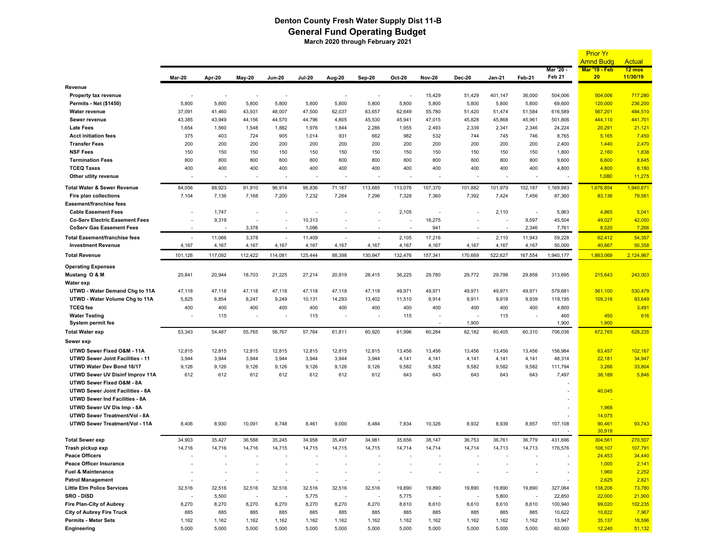## **Denton County Fresh Water Supply Dist 11-B General Fund Operating Budget March 2020 through February 2021**

|                                         |                          |                          |                          |                          |                          |        |                          |         |                          |                          |               |                          |                          | <b>Prior Yr</b>            |                              |
|-----------------------------------------|--------------------------|--------------------------|--------------------------|--------------------------|--------------------------|--------|--------------------------|---------|--------------------------|--------------------------|---------------|--------------------------|--------------------------|----------------------------|------------------------------|
|                                         |                          |                          |                          |                          |                          |        |                          |         |                          |                          |               |                          |                          | <b>Amnd Budg</b>           | <b>Actual</b>                |
|                                         | Mar-20                   | Apr-20                   | <b>May-20</b>            | <b>Jun-20</b>            | <b>Jul-20</b>            | Aug-20 | Sep-20                   | Oct-20  | <b>Nov-20</b>            | <b>Dec-20</b>            | <b>Jan-21</b> | Feb-21                   | Mar '20 -<br>Feb 21      | <b>Mar '19 - Feb</b><br>20 | $12 \text{ mos}$<br>11/30/19 |
| Revenue                                 |                          |                          |                          |                          |                          |        |                          |         |                          |                          |               |                          |                          |                            |                              |
| Property tax revenue                    |                          |                          |                          |                          |                          |        |                          |         | 15,429                   | 51,429                   | 401,147       | 36,000                   | 504,006                  | 504,006                    | 717,280                      |
| <b>Permits - Net (\$1450)</b>           | 5,800                    | 5,800                    | 5,800                    | 5,800                    | 5,800                    | 5,800  | 5,800                    | 5,800   | 5,800                    | 5,800                    | 5,800         | 5,800                    | 69,600                   | 120,000                    | 236,200                      |
| <b>Water revenue</b>                    | 37,091                   | 41,460                   | 43,931                   | 48,007                   | 47,500                   | 62,037 | 63,657                   | 62,649  | 55,780                   | 51,420                   | 51,474        | 51,584                   | 616,589                  | 567,201                    | 484,510                      |
| Sewer revenue                           | 43,385                   | 43,949                   | 44,156                   | 44,570                   | 44,796                   | 4,805  | 45,530                   | 45,941  | 47,015                   | 45,828                   | 45,868        | 45,961                   | 501,806                  | 444,110                    | 441,701                      |
| <b>Late Fees</b>                        | 1,654                    | 1,560                    | 1,548                    | 1,882                    | 1,976                    | 1,844  | 2,286                    | 1,955   | 2,493                    | 2,339                    | 2,341         | 2,346                    | 24,224                   | 20,291                     | 21,121                       |
| <b>Acct initiation fees</b>             | 375                      | 403                      | 724                      | 905                      | 1,014                    | 931    | 662                      | 982     | 532                      | 744                      | 745           | 746                      | 8,765                    | 5,165                      | 7,450                        |
| <b>Transfer Fees</b>                    | 200                      | 200                      | 200                      | 200                      | 200                      | 200    | 200                      | 200     | 200                      | 200                      | 200           | 200                      | 2,400                    | 1,440                      | 2,470                        |
| <b>NSF Fees</b>                         | 150                      | 150                      | 150                      | 150                      | 150                      | 150    | 150                      | 150     | 150                      | 150                      | 150           | 150                      | 1,800                    | 2,160                      | 1,838                        |
| <b>Termination Fees</b>                 | 800                      | 800                      | 800                      | 800                      | 800                      | 800    | 800                      | 800     | 800                      | 800                      | 800           | 800                      | 9,600                    | 6,600                      | 8,645                        |
| <b>TCEQ Taxes</b>                       | 400                      | 400                      | 400                      | 400                      | 400                      | 400    | 400                      | 400     | 400                      | 400                      | 400           | 400                      | 4,800                    | 4,800                      | 8,180                        |
| Other utlity revenue                    |                          | $\overline{\phantom{a}}$ |                          |                          |                          |        |                          |         |                          |                          |               |                          |                          | 1,080                      | 11,275                       |
| <b>Total Water &amp; Sewer Revenue</b>  | 84,056                   | 88,923                   | 91,910                   | 96,914                   | 96,836                   | 71,167 | 113,685                  | 113,076 | 107,370                  | 101,882                  | 101,979       | 102,187                  | 1,169,983                | 1,676,854                  | 1,940,671                    |
| Fire plan collections                   | 7,104                    | 7,136                    | 7,168                    | 7,200                    | 7,232                    | 7,264  | 7,296                    | 7,328   | 7,360                    | 7,392                    | 7,424         | 7,456                    | 87,360                   | 83,136                     | 79,581                       |
| Easement/franchise fees                 |                          |                          |                          |                          |                          |        |                          |         |                          |                          |               |                          |                          |                            |                              |
| <b>Cable Easement Fees</b>              |                          | 1,747                    |                          |                          |                          |        |                          | 2,105   |                          |                          | 2,110         | $\overline{\phantom{a}}$ | 5,963                    | 4,865                      | 5,041                        |
| <b>Co-Serv Electric Easement Fees</b>   |                          | 9,319                    |                          | $\overline{a}$           | 10,313                   |        |                          |         | 16,275                   | $\overline{a}$           |               | 9,597                    | 45,504                   | 49,027                     | 42,050                       |
| <b>CoServ Gas Easement Fees</b>         | $\overline{\phantom{a}}$ |                          | 3,378                    |                          | 1,096                    |        |                          |         | 941                      |                          |               | 2,346                    | 7,761                    | 8,520                      | 7,266                        |
| Total Easement/franchise fees           | $\overline{a}$           | 11,066                   | 3,378                    | $\overline{\phantom{a}}$ | 11,409                   |        |                          | 2,105   | 17,216                   |                          | 2,110         | 11,943                   | 59,228                   | 62,412                     | 54,357                       |
| <b>Investment Revenue</b>               | 4,167                    | 4,167                    | 4,167                    | 4,167                    | 4,167                    | 4,167  | 4,167                    | 4,167   | 4,167                    | 4,167                    | 4,167         | 4,167                    | 50,000                   | 40,667                     | 50,358                       |
| <b>Total Revenue</b>                    | 101,126                  | 117,092                  | 112,422                  | 114,081                  | 125,444                  | 88,398 | 130,947                  | 132,476 | 157,341                  | 170,669                  | 522,627       | 167,554                  | 1,940,177                | 1,863,069                  | 2,124,967                    |
| <b>Operating Expenses</b>               |                          |                          |                          |                          |                          |        |                          |         |                          |                          |               |                          |                          |                            |                              |
| Mustang O & M                           | 20,841                   | 20,944                   | 18,703                   | 21,225                   | 27,214                   | 20,919 | 28,415                   | 36,225  | 29,780                   | 29,772                   | 29,798        | 29,858                   | 313,695                  | 215,643                    | 243,003                      |
| Water exp                               |                          |                          |                          |                          |                          |        |                          |         |                          |                          |               |                          |                          |                            |                              |
| UTWD - Water Demand Chg to 11A          | 47,118                   | 47,118                   | 47,118                   | 47,118                   | 47,118                   | 47,118 | 47,118                   | 49,971  | 49,971                   | 49,971                   | 49,971        | 49,971                   | 579,681                  | 561,100                    | 530,479                      |
| UTWD - Water Volume Chg to 11A          | 5,825                    | 6,854                    | 8,247                    | 9,249                    | 10,131                   | 14,293 | 13,402                   | 11,510  | 9,914                    | 9,911                    | 9,919         | 9,939                    | 119,195                  | 109,316                    | 93,649                       |
| <b>TCEQ</b> fee                         | 400                      | 400                      | 400                      | 400                      | 400                      | 400    | 400                      | 400     | 400                      | 400                      | 400           | 400                      | 4,800                    |                            | 3,491                        |
| <b>Water Testing</b>                    |                          | 115                      | $\overline{\phantom{a}}$ | $\overline{\phantom{a}}$ | 115                      |        |                          | 115     | $\overline{\phantom{a}}$ | $\overline{\phantom{a}}$ | 115           |                          | 460                      | 450                        | 616                          |
| <b>System permit fee</b>                |                          |                          |                          |                          |                          |        |                          |         |                          | 1,900                    |               |                          | 1,900                    | 1,900                      |                              |
| <b>Total Water exp</b>                  | 53,343                   | 54,487                   | 55,765                   | 56,767                   | 57,764                   | 61,811 | 60,920                   | 61,996  | 60,284                   | 62,182                   | 60,405        | 60,310                   | 706,036                  | 672,765                    | 628,235                      |
| Sewer exp                               |                          |                          |                          |                          |                          |        |                          |         |                          |                          |               |                          |                          |                            |                              |
| UTWD Sewer Fixed O&M - 11A              | 12,815                   | 12,815                   | 12,815                   | 12,815                   | 12,815                   | 12,815 | 12,815                   | 13,456  | 13,456                   | 13,456                   | 13,456        | 13,456                   | 156,984                  | 63,457                     | 102,167                      |
| <b>UTWD Sewer Joint Facilities - 11</b> | 3,944                    | 3,944                    | 3,944                    | 3,944                    | 3,944                    | 3,944  | 3,944                    | 4,141   | 4,141                    | 4,141                    | 4,141         | 4,141                    | 48,314                   | 22,181                     | 34,947                       |
| UTWD Water Dev Bond 16/17               | 9,126                    | 9,126                    | 9,126                    | 9,126                    | 9,126                    | 9,126  | 9,126                    | 9,582   | 9,582                    | 9,582                    | 9,582         | 9,582                    | 111,794                  | 3,266                      | 33,804                       |
| UTWD Sewer UV Disinf Improv 11A         | 612                      | 612                      | 612                      | 612                      | 612                      | 612    | 612                      | 643     | 643                      | 643                      | 643           | 643                      | 7,497                    | 38,189                     | 5,846                        |
| UTWD Sewer Fixed O&M - 8A               |                          |                          |                          |                          |                          |        |                          |         |                          |                          |               |                          | ٠                        |                            |                              |
| UTWD Sewer Joint Facilities - 8A        |                          |                          |                          |                          |                          |        |                          |         |                          |                          |               |                          |                          | 40,045                     |                              |
| UTWD Sewer Ind Facilities - 8A          |                          |                          |                          |                          |                          |        |                          |         |                          |                          |               |                          | $\overline{a}$           |                            |                              |
| UTWD Sewer UV Dis Imp - 8A              |                          |                          |                          |                          |                          |        |                          |         |                          |                          |               |                          | ٠                        | 1,968                      |                              |
| UTWD Sewer Treatment/Vol - 8A           |                          |                          |                          |                          |                          |        |                          |         |                          |                          |               |                          | $\overline{a}$           | 14,075                     |                              |
| UTWD Sewer Treatment/Vol - 11A          | 8,406                    | 8,930                    | 10,091                   | 8,748                    | 8,461                    | 9,000  | 8,484                    | 7,834   | 10,326                   | 8,932                    | 8,939         | 8,957                    | 107,108                  | 90,461<br>30,918           | 93,743                       |
| <b>Total Sewer exp</b>                  | 34,903                   | 35,427                   | 36,588                   | 35,245                   | 34,958                   | 35,497 | 34,981                   | 35,656  | 38,147                   | 36,753                   | 36,761        | 36,779                   | 431,696                  | 304,561                    | 270,507                      |
| Trash pickup exp                        | 14,716                   | 14,716                   | 14,716                   | 14,715                   | 14,715                   | 14,715 | 14,715                   | 14,714  | 14,714                   | 14,714                   | 14,713        | 14,713                   | 176,576                  | 108,107                    | 107,791                      |
| <b>Peace Officers</b>                   |                          |                          |                          |                          |                          |        |                          |         |                          |                          |               |                          |                          | 24,453                     | 34,440                       |
| Peace Officer Insurance                 |                          |                          |                          |                          |                          |        |                          |         |                          |                          |               |                          | $\overline{\phantom{a}}$ | 1,000                      | 2,141                        |
| Fuel & Maintenance                      |                          | $\overline{\phantom{a}}$ |                          |                          |                          |        |                          |         |                          |                          |               |                          | $\overline{\phantom{a}}$ | 1,960                      | 2,252                        |
| <b>Patrol Management</b>                |                          | $\overline{\phantom{a}}$ |                          | $\overline{a}$           | $\overline{\phantom{a}}$ |        |                          |         |                          |                          |               |                          | $\overline{a}$           | 2,625                      | 2,821                        |
| <b>Little Elm Police Services</b>       | 32,516                   | 32,516                   | 32,516                   | 32,516                   | 32,516                   | 32,516 | 32,516                   | 19,890  | 19,890                   | 19,890                   | 19,890        | 19,890                   | 327,064                  | 138,206                    | 73,780                       |
| SRO - DISD                              |                          | 5,500                    | $\overline{\phantom{a}}$ | $\overline{a}$           | 5,775                    |        | $\overline{\phantom{a}}$ | 5,775   |                          | $\overline{\phantom{a}}$ | 5,800         |                          | 22,850                   | 22,000                     | 21,900                       |
| Fire Plan-City of Aubrey                | 8,270                    | 8,270                    | 8,270                    | 8,270                    | 8,270                    | 8,270  | 8,270                    | 8,610   | 8,610                    | 8,610                    | 8,610         | 8,610                    | 100,940                  | 99,020                     | 102,235                      |
| <b>City of Aubrey Fire Truck</b>        | 885                      | 885                      | 885                      | 885                      | 885                      | 885    | 885                      | 885     | 885                      | 885                      | 885           | 885                      | 10,622                   | 10,622                     | 7,967                        |
| <b>Permits - Meter Sets</b>             | 1,162                    | 1,162                    | 1,162                    | 1,162                    | 1,162                    | 1,162  | 1,162                    | 1,162   | 1,162                    | 1,162                    | 1,162         | 1,162                    | 13,947                   | 35,137                     | 18,596                       |
| Engineering                             | 5,000                    | 5,000                    | 5,000                    | 5,000                    | 5,000                    | 5,000  | 5,000                    | 5,000   | 5,000                    | 5,000                    | 5,000         | 5,000                    | 60,000                   | 12,240                     | 51,132                       |